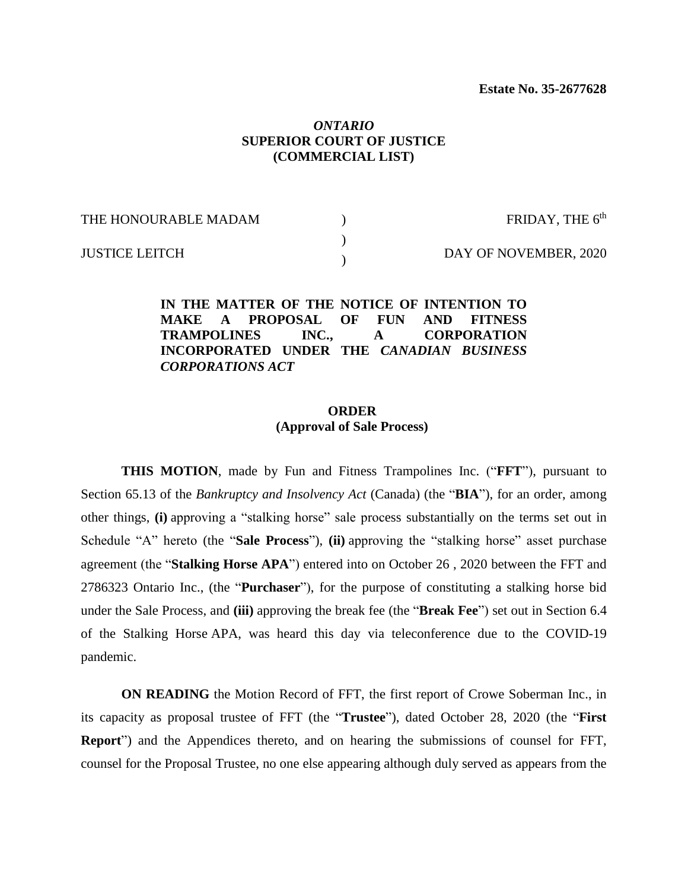### *ONTARIO* **SUPERIOR COURT OF JUSTICE (COMMERCIAL LIST)**

| THE HONOURABLE MADAM  | FRIDAY, THE $6th$     |
|-----------------------|-----------------------|
| <b>JUSTICE LEITCH</b> | DAY OF NOVEMBER, 2020 |

**IN THE MATTER OF THE NOTICE OF INTENTION TO MAKE A PROPOSAL OF FUN AND FITNESS TRAMPOLINES INC., A CORPORATION INCORPORATED UNDER THE** *CANADIAN BUSINESS CORPORATIONS ACT*

### **ORDER (Approval of Sale Process)**

**THIS MOTION**, made by Fun and Fitness Trampolines Inc. ("**FFT**"), pursuant to Section 65.13 of the *Bankruptcy and Insolvency Act* (Canada) (the "**BIA**"), for an order, among other things, **(i)** approving a "stalking horse" sale process substantially on the terms set out in Schedule "A" hereto (the "**Sale Process**"), **(ii)** approving the "stalking horse" asset purchase agreement (the "**Stalking Horse APA**") entered into on October 26 , 2020 between the FFT and 2786323 Ontario Inc., (the "**Purchaser**"), for the purpose of constituting a stalking horse bid under the Sale Process, and **(iii)** approving the break fee (the "**Break Fee**") set out in Section 6.4 of the Stalking Horse APA, was heard this day via teleconference due to the COVID-19 pandemic.

**ON READING** the Motion Record of FFT, the first report of Crowe Soberman Inc., in its capacity as proposal trustee of FFT (the "**Trustee**"), dated October 28, 2020 (the "**First Report**") and the Appendices thereto, and on hearing the submissions of counsel for FFT, counsel for the Proposal Trustee, no one else appearing although duly served as appears from the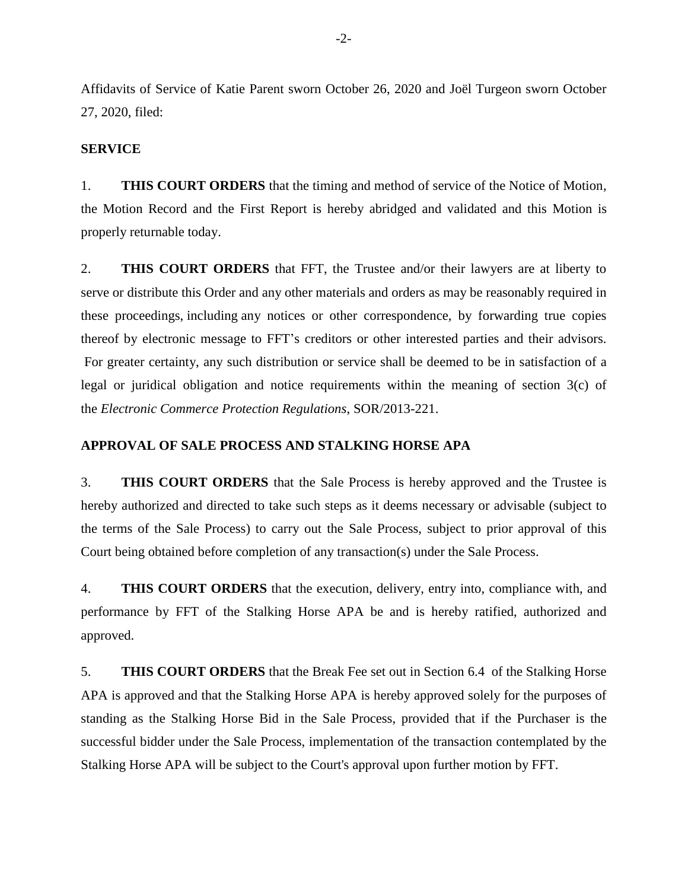Affidavits of Service of Katie Parent sworn October 26, 2020 and Joël Turgeon sworn October 27, 2020, filed:

#### **SERVICE**

1. **THIS COURT ORDERS** that the timing and method of service of the Notice of Motion, the Motion Record and the First Report is hereby abridged and validated and this Motion is properly returnable today.

2. **THIS COURT ORDERS** that FFT, the Trustee and/or their lawyers are at liberty to serve or distribute this Order and any other materials and orders as may be reasonably required in these proceedings, including any notices or other correspondence, by forwarding true copies thereof by electronic message to FFT's creditors or other interested parties and their advisors. For greater certainty, any such distribution or service shall be deemed to be in satisfaction of a legal or juridical obligation and notice requirements within the meaning of section 3(c) of the *Electronic Commerce Protection Regulations*, SOR/2013-221.

#### **APPROVAL OF SALE PROCESS AND STALKING HORSE APA**

3. **THIS COURT ORDERS** that the Sale Process is hereby approved and the Trustee is hereby authorized and directed to take such steps as it deems necessary or advisable (subject to the terms of the Sale Process) to carry out the Sale Process, subject to prior approval of this Court being obtained before completion of any transaction(s) under the Sale Process.

4. **THIS COURT ORDERS** that the execution, delivery, entry into, compliance with, and performance by FFT of the Stalking Horse APA be and is hereby ratified, authorized and approved.

5. **THIS COURT ORDERS** that the Break Fee set out in Section 6.4 of the Stalking Horse APA is approved and that the Stalking Horse APA is hereby approved solely for the purposes of standing as the Stalking Horse Bid in the Sale Process, provided that if the Purchaser is the successful bidder under the Sale Process, implementation of the transaction contemplated by the Stalking Horse APA will be subject to the Court's approval upon further motion by FFT.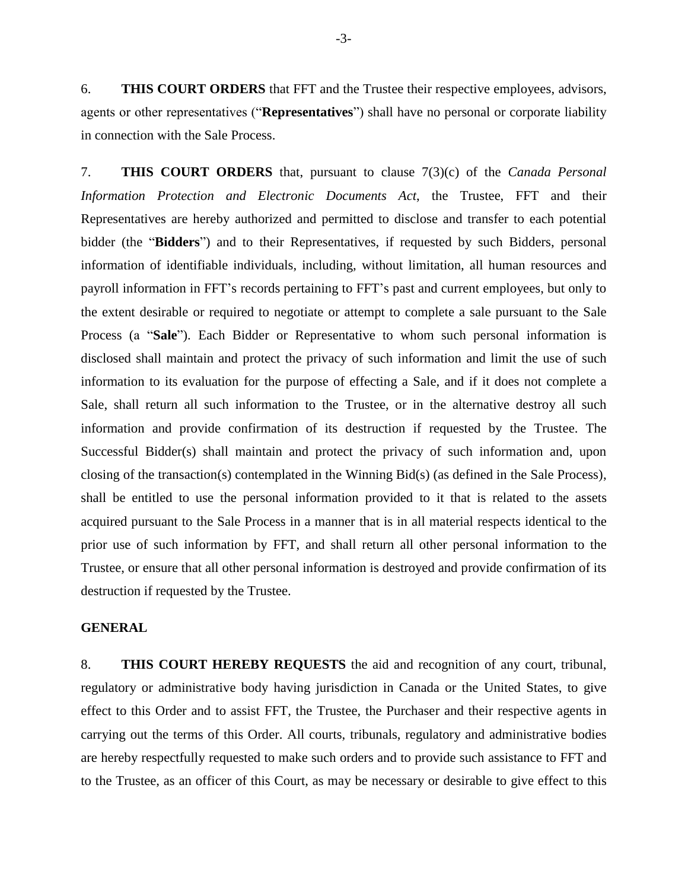6. **THIS COURT ORDERS** that FFT and the Trustee their respective employees, advisors, agents or other representatives ("**Representatives**") shall have no personal or corporate liability in connection with the Sale Process.

7. **THIS COURT ORDERS** that, pursuant to clause 7(3)(c) of the *Canada Personal Information Protection and Electronic Documents Act*, the Trustee, FFT and their Representatives are hereby authorized and permitted to disclose and transfer to each potential bidder (the "**Bidders**") and to their Representatives, if requested by such Bidders, personal information of identifiable individuals, including, without limitation, all human resources and payroll information in FFT's records pertaining to FFT's past and current employees, but only to the extent desirable or required to negotiate or attempt to complete a sale pursuant to the Sale Process (a "**Sale**"). Each Bidder or Representative to whom such personal information is disclosed shall maintain and protect the privacy of such information and limit the use of such information to its evaluation for the purpose of effecting a Sale, and if it does not complete a Sale, shall return all such information to the Trustee, or in the alternative destroy all such information and provide confirmation of its destruction if requested by the Trustee. The Successful Bidder(s) shall maintain and protect the privacy of such information and, upon closing of the transaction(s) contemplated in the Winning Bid(s) (as defined in the Sale Process), shall be entitled to use the personal information provided to it that is related to the assets acquired pursuant to the Sale Process in a manner that is in all material respects identical to the prior use of such information by FFT, and shall return all other personal information to the Trustee, or ensure that all other personal information is destroyed and provide confirmation of its destruction if requested by the Trustee.

#### **GENERAL**

8. **THIS COURT HEREBY REQUESTS** the aid and recognition of any court, tribunal, regulatory or administrative body having jurisdiction in Canada or the United States, to give effect to this Order and to assist FFT, the Trustee, the Purchaser and their respective agents in carrying out the terms of this Order. All courts, tribunals, regulatory and administrative bodies are hereby respectfully requested to make such orders and to provide such assistance to FFT and to the Trustee, as an officer of this Court, as may be necessary or desirable to give effect to this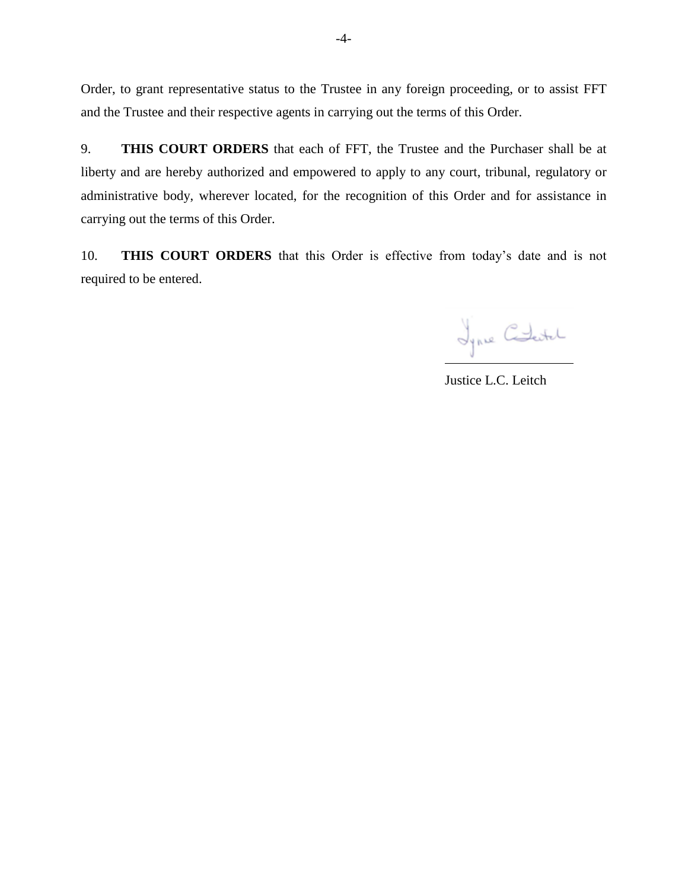Order, to grant representative status to the Trustee in any foreign proceeding, or to assist FFT and the Trustee and their respective agents in carrying out the terms of this Order.

9. **THIS COURT ORDERS** that each of FFT, the Trustee and the Purchaser shall be at liberty and are hereby authorized and empowered to apply to any court, tribunal, regulatory or administrative body, wherever located, for the recognition of this Order and for assistance in carrying out the terms of this Order.

10. **THIS COURT ORDERS** that this Order is effective from today's date and is not required to be entered.

Jynne Checke

Justice L.C. Leitch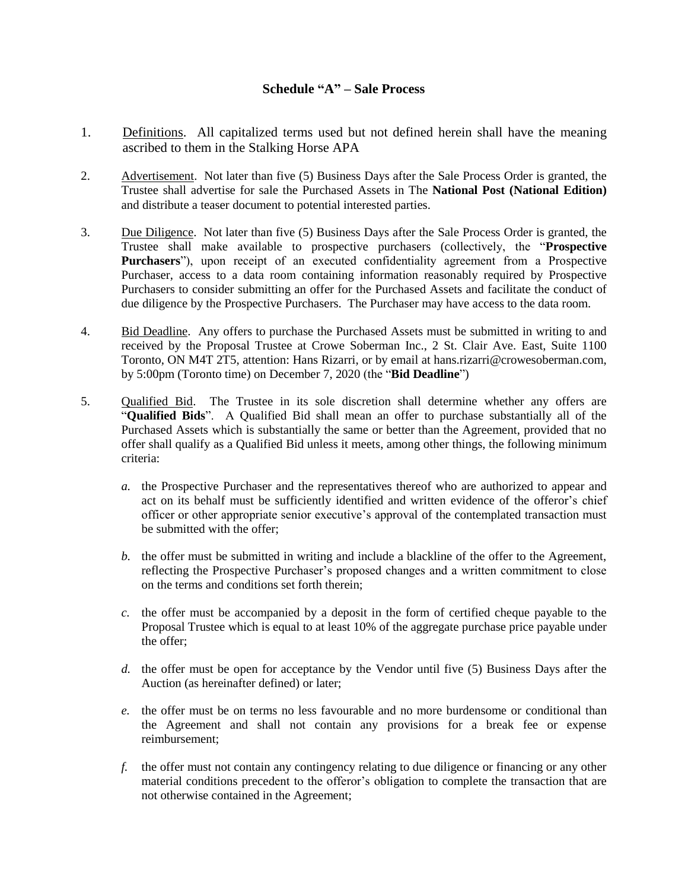### **Schedule "A" – Sale Process**

- 1. Definitions. All capitalized terms used but not defined herein shall have the meaning ascribed to them in the Stalking Horse APA
- 2. Advertisement. Not later than five (5) Business Days after the Sale Process Order is granted, the Trustee shall advertise for sale the Purchased Assets in The **National Post (National Edition)** and distribute a teaser document to potential interested parties.
- 3. Due Diligence. Not later than five (5) Business Days after the Sale Process Order is granted, the Trustee shall make available to prospective purchasers (collectively, the "**Prospective Purchasers**"), upon receipt of an executed confidentiality agreement from a Prospective Purchaser, access to a data room containing information reasonably required by Prospective Purchasers to consider submitting an offer for the Purchased Assets and facilitate the conduct of due diligence by the Prospective Purchasers. The Purchaser may have access to the data room.
- 4. Bid Deadline. Any offers to purchase the Purchased Assets must be submitted in writing to and received by the Proposal Trustee at Crowe Soberman Inc., 2 St. Clair Ave. East, Suite 1100 Toronto, ON M4T 2T5, attention: Hans Rizarri, or by email at hans.rizarri@crowesoberman.com, by 5:00pm (Toronto time) on December 7, 2020 (the "**Bid Deadline**")
- 5. Qualified Bid. The Trustee in its sole discretion shall determine whether any offers are "**Qualified Bids**". A Qualified Bid shall mean an offer to purchase substantially all of the Purchased Assets which is substantially the same or better than the Agreement, provided that no offer shall qualify as a Qualified Bid unless it meets, among other things, the following minimum criteria:
	- *a.* the Prospective Purchaser and the representatives thereof who are authorized to appear and act on its behalf must be sufficiently identified and written evidence of the offeror's chief officer or other appropriate senior executive's approval of the contemplated transaction must be submitted with the offer:
	- *b.* the offer must be submitted in writing and include a blackline of the offer to the Agreement, reflecting the Prospective Purchaser's proposed changes and a written commitment to close on the terms and conditions set forth therein;
	- *c.* the offer must be accompanied by a deposit in the form of certified cheque payable to the Proposal Trustee which is equal to at least 10% of the aggregate purchase price payable under the offer;
	- *d.* the offer must be open for acceptance by the Vendor until five (5) Business Days after the Auction (as hereinafter defined) or later;
	- *e.* the offer must be on terms no less favourable and no more burdensome or conditional than the Agreement and shall not contain any provisions for a break fee or expense reimbursement;
	- *f.* the offer must not contain any contingency relating to due diligence or financing or any other material conditions precedent to the offeror's obligation to complete the transaction that are not otherwise contained in the Agreement;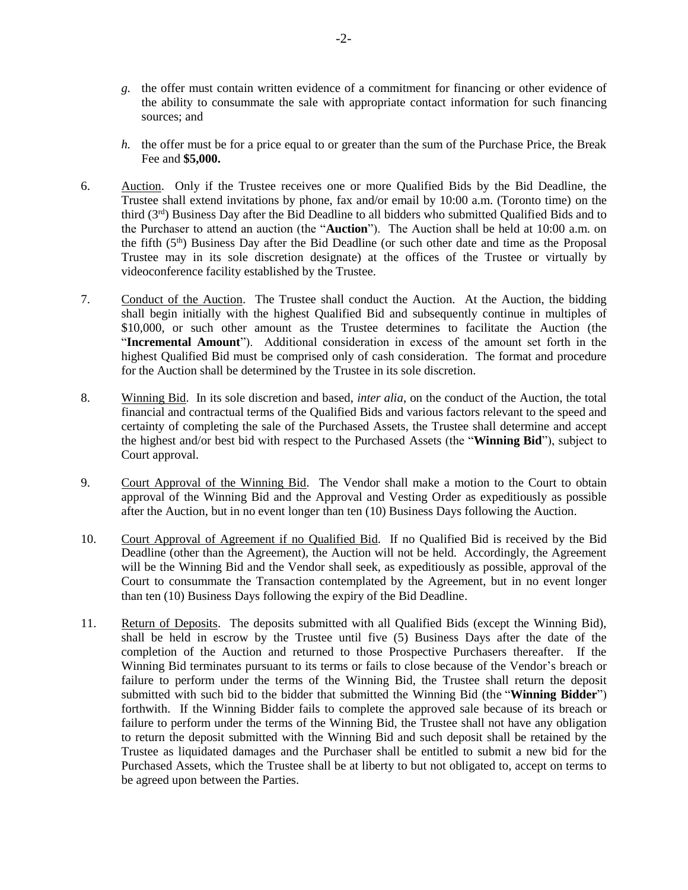- *g.* the offer must contain written evidence of a commitment for financing or other evidence of the ability to consummate the sale with appropriate contact information for such financing sources; and
- *h.* the offer must be for a price equal to or greater than the sum of the Purchase Price, the Break Fee and **\$5,000.**
- 6. Auction. Only if the Trustee receives one or more Qualified Bids by the Bid Deadline, the Trustee shall extend invitations by phone, fax and/or email by 10:00 a.m. (Toronto time) on the third (3rd) Business Day after the Bid Deadline to all bidders who submitted Qualified Bids and to the Purchaser to attend an auction (the "**Auction**"). The Auction shall be held at 10:00 a.m. on the fifth  $(5<sup>th</sup>)$  Business Day after the Bid Deadline (or such other date and time as the Proposal Trustee may in its sole discretion designate) at the offices of the Trustee or virtually by videoconference facility established by the Trustee.
- 7. Conduct of the Auction. The Trustee shall conduct the Auction. At the Auction, the bidding shall begin initially with the highest Qualified Bid and subsequently continue in multiples of \$10,000, or such other amount as the Trustee determines to facilitate the Auction (the "**Incremental Amount**"). Additional consideration in excess of the amount set forth in the highest Qualified Bid must be comprised only of cash consideration. The format and procedure for the Auction shall be determined by the Trustee in its sole discretion.
- 8. Winning Bid. In its sole discretion and based, *inter alia*, on the conduct of the Auction, the total financial and contractual terms of the Qualified Bids and various factors relevant to the speed and certainty of completing the sale of the Purchased Assets, the Trustee shall determine and accept the highest and/or best bid with respect to the Purchased Assets (the "**Winning Bid**"), subject to Court approval.
- 9. Court Approval of the Winning Bid. The Vendor shall make a motion to the Court to obtain approval of the Winning Bid and the Approval and Vesting Order as expeditiously as possible after the Auction, but in no event longer than ten (10) Business Days following the Auction.
- 10. Court Approval of Agreement if no Qualified Bid. If no Qualified Bid is received by the Bid Deadline (other than the Agreement), the Auction will not be held. Accordingly, the Agreement will be the Winning Bid and the Vendor shall seek, as expeditiously as possible, approval of the Court to consummate the Transaction contemplated by the Agreement, but in no event longer than ten (10) Business Days following the expiry of the Bid Deadline.
- 11. Return of Deposits. The deposits submitted with all Qualified Bids (except the Winning Bid), shall be held in escrow by the Trustee until five (5) Business Days after the date of the completion of the Auction and returned to those Prospective Purchasers thereafter. If the Winning Bid terminates pursuant to its terms or fails to close because of the Vendor's breach or failure to perform under the terms of the Winning Bid, the Trustee shall return the deposit submitted with such bid to the bidder that submitted the Winning Bid (the "**Winning Bidder**") forthwith. If the Winning Bidder fails to complete the approved sale because of its breach or failure to perform under the terms of the Winning Bid, the Trustee shall not have any obligation to return the deposit submitted with the Winning Bid and such deposit shall be retained by the Trustee as liquidated damages and the Purchaser shall be entitled to submit a new bid for the Purchased Assets, which the Trustee shall be at liberty to but not obligated to, accept on terms to be agreed upon between the Parties.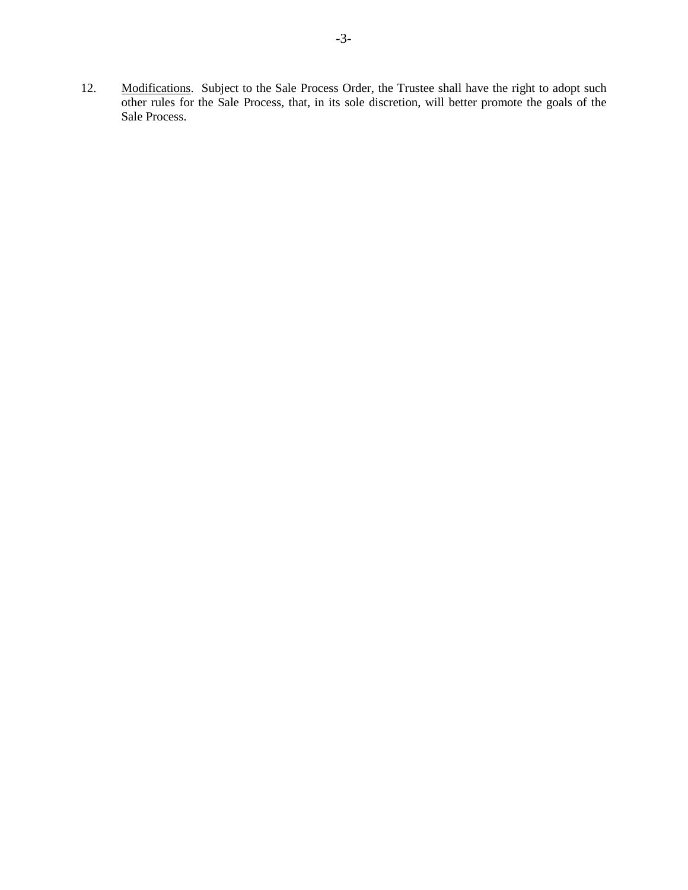12. Modifications. Subject to the Sale Process Order, the Trustee shall have the right to adopt such other rules for the Sale Process, that, in its sole discretion, will better promote the goals of the Sale Process.